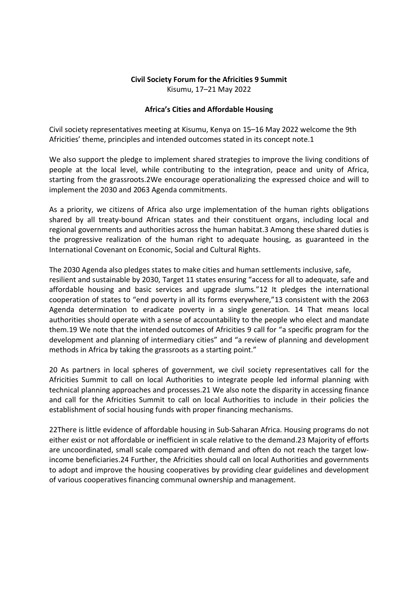## Civil Society Forum for the Africities 9 Summit Kisumu, 17–21 May 2022

## Africa's Cities and Affordable Housing

Civil society representatives meeting at Kisumu, Kenya on 15–16 May 2022 welcome the 9th Africities' theme, principles and intended outcomes stated in its concept note.1

We also support the pledge to implement shared strategies to improve the living conditions of people at the local level, while contributing to the integration, peace and unity of Africa, starting from the grassroots.2We encourage operationalizing the expressed choice and will to implement the 2030 and 2063 Agenda commitments.

As a priority, we citizens of Africa also urge implementation of the human rights obligations shared by all treaty-bound African states and their constituent organs, including local and regional governments and authorities across the human habitat.3 Among these shared duties is the progressive realization of the human right to adequate housing, as guaranteed in the International Covenant on Economic, Social and Cultural Rights.

The 2030 Agenda also pledges states to make cities and human settlements inclusive, safe, resilient and sustainable by 2030, Target 11 states ensuring "access for all to adequate, safe and affordable housing and basic services and upgrade slums."12 It pledges the international cooperation of states to "end poverty in all its forms everywhere,"13 consistent with the 2063 Agenda determination to eradicate poverty in a single generation. 14 That means local authorities should operate with a sense of accountability to the people who elect and mandate them.19 We note that the intended outcomes of Africities 9 call for "a specific program for the development and planning of intermediary cities" and "a review of planning and development methods in Africa by taking the grassroots as a starting point."

20 As partners in local spheres of government, we civil society representatives call for the Africities Summit to call on local Authorities to integrate people led informal planning with technical planning approaches and processes.21 We also note the disparity in accessing finance and call for the Africities Summit to call on local Authorities to include in their policies the establishment of social housing funds with proper financing mechanisms.

22There is little evidence of affordable housing in Sub-Saharan Africa. Housing programs do not either exist or not affordable or inefficient in scale relative to the demand.23 Majority of efforts are uncoordinated, small scale compared with demand and often do not reach the target lowincome beneficiaries.24 Further, the Africities should call on local Authorities and governments to adopt and improve the housing cooperatives by providing clear guidelines and development of various cooperatives financing communal ownership and management.